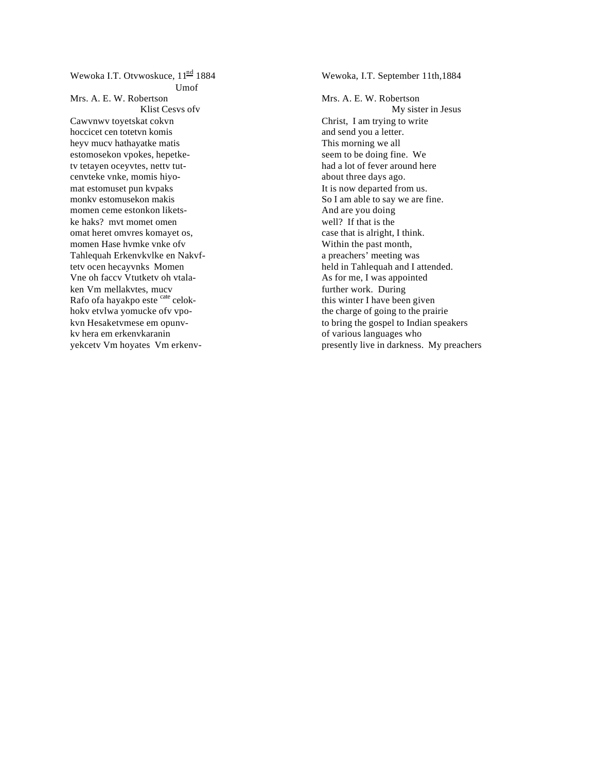Wewoka I.T. Otvwoskuce,  $11^{\text{nd}}$  1884 Umof Mrs. A. E. W. Robertson Klist Cesvs ofv Cawvnwv toyetskat cokvn hoccicet cen totetvn komis heyv mucv hathayatke matis estomosekon vpokes, hepetketv tetayen oceyvtes, nettv tutcenvteke vnke, momis hiyomat estomuset pun kvpaks monkv estomusekon makis momen ceme estonkon liketske haks? mvt momet omen omat heret omvres komayet os, momen Hase hvmke vnke ofv Tahlequah Erkenvkvlke en Nakvftetv ocen hecayvnks Momen Vne oh faccv Vtutketv oh vtalaken Vm mellakvtes, mucv Rafo ofa hayakpo este cate celokhokv etvlwa yomucke ofv vpokvn Hesaketvmese em opunvkv hera em erkenvkaranin yekcetv Vm hoyates Vm erkenv-

Wewoka, I.T. September 11th,1884

Mrs. A. E. W. Robertson My sister in Jesus Christ, I am trying to write and send you a letter. This morning we all seem to be doing fine. We had a lot of fever around here about three days ago. It is now departed from us. So I am able to say we are fine. And are you doing well? If that is the case that is alright, I think. Within the past month, a preachers' meeting was held in Tahlequah and I attended. As for me, I was appointed further work. During this winter I have been given the charge of going to the prairie to bring the gospel to Indian speakers of various languages who presently live in darkness. My preachers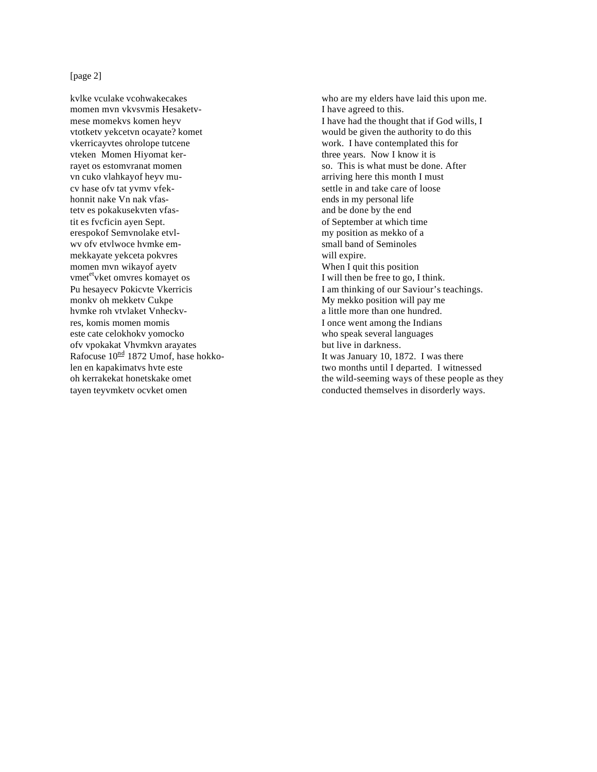## [page 2]

kvlke vculake vcohwakecakes momen mvn vkvsvmis Hesaketvmese momekvs komen heyv vtotketv yekcetvn ocayate? komet vkerricayvtes ohrolope tutcene vteken Momen Hiyomat kerrayet os estomvranat momen vn cuko vlahkayof heyv mucv hase ofv tat yvmv vfekhonnit nake Vn nak vfastetv es pokakusekvten vfastit es fvcficin ayen Sept. erespokof Semvnolake etvlwv ofv etvlwoce hvmke emmekkayate yekceta pokvres momen mvn wikayof ayetv vmet<sup>et</sup>vket omvres komayet os Pu hesayecv Pokicvte Vkerricis monkv oh mekketv Cukpe hvmke roh vtvlaket Vnheckvres, komis momen momis este cate celokhokv yomocko ofv vpokakat Vhvmkvn arayates Rafocuse  $10^{nd}$  1872 Umof, hase hokkolen en kapakimatvs hvte este oh kerrakekat honetskake omet tayen teyvmketv ocvket omen

who are my elders have laid this upon me. I have agreed to this. I have had the thought that if God wills, I would be given the authority to do this work. I have contemplated this for three years. Now I know it is so. This is what must be done. After arriving here this month I must settle in and take care of loose ends in my personal life and be done by the end of September at which time my position as mekko of a small band of Seminoles will expire. When I quit this position I will then be free to go, I think. I am thinking of our Saviour's teachings. My mekko position will pay me a little more than one hundred. I once went among the Indians who speak several languages but live in darkness. It was January 10, 1872. I was there two months until I departed. I witnessed the wild-seeming ways of these people as they conducted themselves in disorderly ways.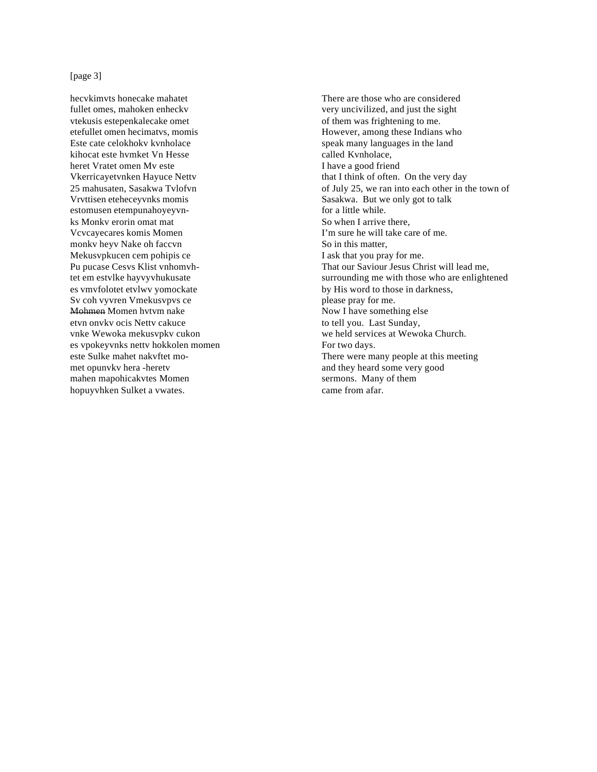## [page 3]

hecvkimvts honecake mahatet fullet omes, mahoken enheckv vtekusis estepenkalecake omet etefullet omen hecimatvs, momis Este cate celokhokv kvnholace kihocat este hvmket Vn Hesse heret Vratet omen Mv este Vkerricayetvnken Hayuce Nettv 25 mahusaten, Sasakwa Tvlofvn Vrvttisen eteheceyvnks momis estomusen etempunahoyeyvnks Monkv erorin omat mat Vcvcayecares komis Momen monkv heyv Nake oh faccvn Mekusvpkucen cem pohipis ce Pu pucase Cesvs Klist vnhomvhtet em estvlke hayvyvhukusate es vmvfolotet etvlwv yomockate Sv coh vyvren Vmekusvpvs ce Mohmen Momen hvtvm nake etvn onvkv ocis Nettv cakuce vnke Wewoka mekusvpkv cukon es vpokeyvnks nettv hokkolen momen este Sulke mahet nakvftet momet opunvkv hera -heretv mahen mapohicakvtes Momen hopuyvhken Sulket a vwates.

There are those who are considered very uncivilized, and just the sight of them was frightening to me. However, among these Indians who speak many languages in the land called Kvnholace, I have a good friend that I think of often. On the very day of July 25, we ran into each other in the town of Sasakwa. But we only got to talk for a little while. So when I arrive there, I'm sure he will take care of me. So in this matter, I ask that you pray for me. That our Saviour Jesus Christ will lead me, surrounding me with those who are enlightened by His word to those in darkness, please pray for me. Now I have something else to tell you. Last Sunday, we held services at Wewoka Church. For two days. There were many people at this meeting and they heard some very good sermons. Many of them came from afar.